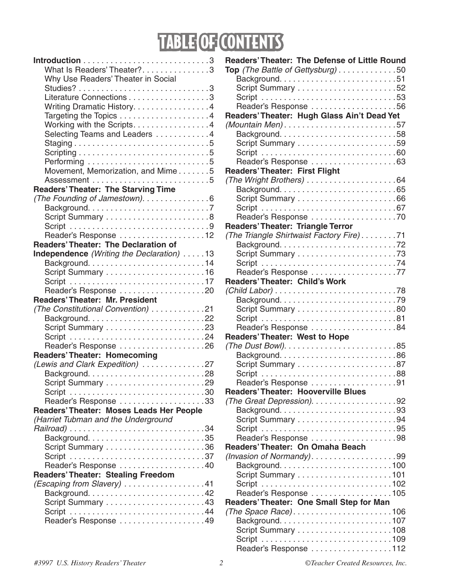## TABLE OF CONTENTS

| What Is Readers' Theater?3                                                      |  |
|---------------------------------------------------------------------------------|--|
| Why Use Readers' Theater in Social                                              |  |
|                                                                                 |  |
| Literature Connections 3                                                        |  |
| Writing Dramatic History. 4                                                     |  |
|                                                                                 |  |
| Working with the Scripts. 4                                                     |  |
| Selecting Teams and Leaders 4                                                   |  |
|                                                                                 |  |
|                                                                                 |  |
|                                                                                 |  |
| Movement, Memorization, and Mime5                                               |  |
|                                                                                 |  |
| <b>Readers' Theater: The Starving Time</b>                                      |  |
| (The Founding of Jamestown). 6                                                  |  |
|                                                                                 |  |
| Script Summary 8                                                                |  |
|                                                                                 |  |
| Reader's Response 12                                                            |  |
| <b>Readers' Theater: The Declaration of</b>                                     |  |
| Independence (Writing the Declaration) 13                                       |  |
|                                                                                 |  |
|                                                                                 |  |
|                                                                                 |  |
| Reader's Response 20<br><b>Readers' Theater: Mr. President</b>                  |  |
|                                                                                 |  |
|                                                                                 |  |
| (The Constitutional Convention) 21                                              |  |
|                                                                                 |  |
|                                                                                 |  |
|                                                                                 |  |
| Reader's Response 26                                                            |  |
| <b>Readers' Theater: Homecoming</b>                                             |  |
| (Lewis and Clark Expedition) 27                                                 |  |
|                                                                                 |  |
|                                                                                 |  |
|                                                                                 |  |
| Reader's Response 33                                                            |  |
| Readers' Theater: Moses Leads Her People<br>(Harriet Tubman and the Underground |  |
|                                                                                 |  |
|                                                                                 |  |
|                                                                                 |  |
| Script                                                                          |  |
| Reader's Response 40                                                            |  |
| <b>Readers' Theater: Stealing Freedom</b>                                       |  |
| (Escaping from Slavery) 41                                                      |  |
|                                                                                 |  |
|                                                                                 |  |
| Reader's Response 49                                                            |  |

| <b>Readers' Theater: The Defense of Little Round</b> |  |
|------------------------------------------------------|--|
| Top (The Battle of Gettysburg) 50                    |  |
|                                                      |  |
|                                                      |  |
|                                                      |  |
| Reader's Response 56                                 |  |
| Readers' Theater: Hugh Glass Ain't Dead Yet          |  |
|                                                      |  |
|                                                      |  |
|                                                      |  |
|                                                      |  |
| Reader's Response 63                                 |  |
| <b>Readers' Theater: First Flight</b>                |  |
|                                                      |  |
|                                                      |  |
|                                                      |  |
|                                                      |  |
|                                                      |  |
| <b>Readers' Theater: Triangle Terror</b>             |  |
| (The Triangle Shirtwaist Factory Fire)71             |  |
|                                                      |  |
|                                                      |  |
|                                                      |  |
| Reader's Response 77                                 |  |
| <b>Readers' Theater: Child's Work</b>                |  |
|                                                      |  |
|                                                      |  |
|                                                      |  |
|                                                      |  |
| Reader's Response 84                                 |  |
| <b>Readers' Theater: West to Hope</b>                |  |
|                                                      |  |
|                                                      |  |
|                                                      |  |
|                                                      |  |
|                                                      |  |
| Reader's Response 91                                 |  |
| <b>Readers' Theater: Hooverville Blues</b>           |  |
|                                                      |  |
|                                                      |  |
|                                                      |  |
| Script                                               |  |
| Reader's Response 98                                 |  |
| <b>Readers' Theater: On Omaha Beach</b>              |  |
|                                                      |  |
|                                                      |  |
| Script Summary 101                                   |  |
|                                                      |  |
| Reader's Response 105                                |  |
| Readers' Theater: One Small Step for Man             |  |
| (The Space Race)106                                  |  |
|                                                      |  |
|                                                      |  |
|                                                      |  |
| Reader's Response 112                                |  |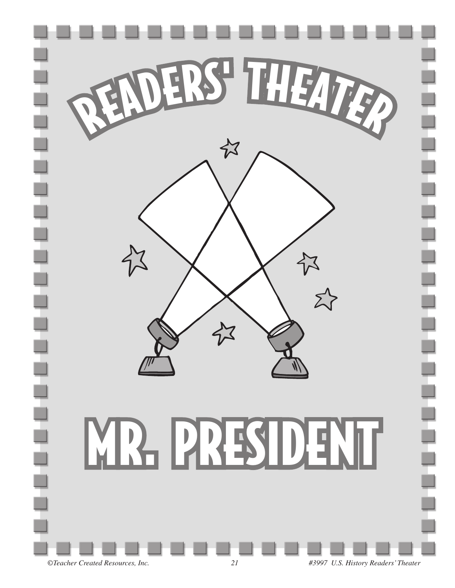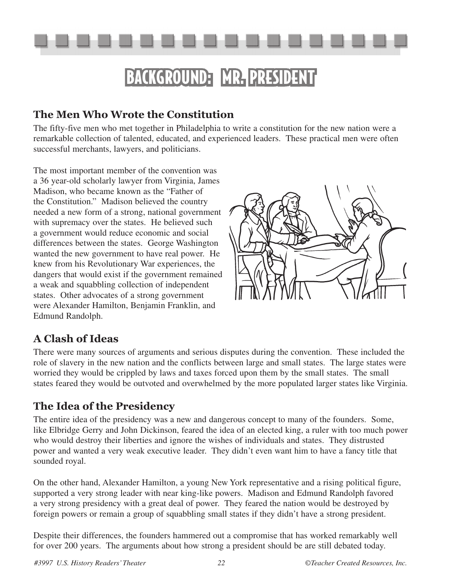

# BACKGROUND: MR. PRESIDENT

#### **The Men Who Wrote the Constitution**

The fifty-five men who met together in Philadelphia to write a constitution for the new nation were a remarkable collection of talented, educated, and experienced leaders. These practical men were often successful merchants, lawyers, and politicians.

The most important member of the convention was a 36 year-old scholarly lawyer from Virginia, James Madison, who became known as the "Father of the Constitution." Madison believed the country needed a new form of a strong, national government with supremacy over the states. He believed such a government would reduce economic and social differences between the states. George Washington wanted the new government to have real power. He knew from his Revolutionary War experiences, the dangers that would exist if the government remained a weak and squabbling collection of independent states. Other advocates of a strong government were Alexander Hamilton, Benjamin Franklin, and Edmund Randolph.



#### **A Clash of Ideas**

There were many sources of arguments and serious disputes during the convention. These included the role of slavery in the new nation and the conflicts between large and small states. The large states were worried they would be crippled by laws and taxes forced upon them by the small states. The small states feared they would be outvoted and overwhelmed by the more populated larger states like Virginia.

#### **The Idea of the Presidency**

The entire idea of the presidency was a new and dangerous concept to many of the founders. Some, like Elbridge Gerry and John Dickinson, feared the idea of an elected king, a ruler with too much power who would destroy their liberties and ignore the wishes of individuals and states. They distrusted power and wanted a very weak executive leader. They didn't even want him to have a fancy title that sounded royal.

On the other hand, Alexander Hamilton, a young New York representative and a rising political figure, supported a very strong leader with near king-like powers. Madison and Edmund Randolph favored a very strong presidency with a great deal of power. They feared the nation would be destroyed by foreign powers or remain a group of squabbling small states if they didn't have a strong president.

Despite their differences, the founders hammered out a compromise that has worked remarkably well for over 200 years. The arguments about how strong a president should be are still debated today.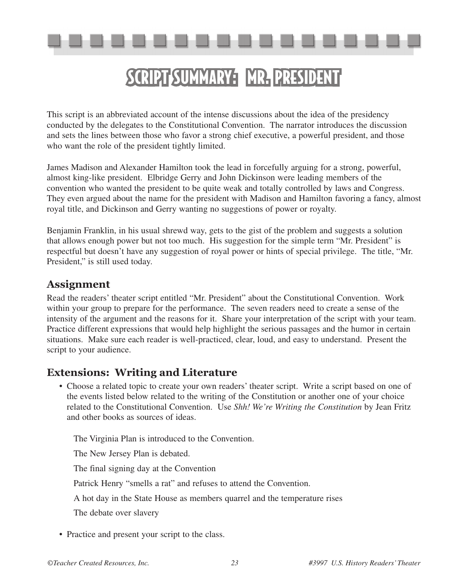

## SCRIPT SUMMARY: MR. PRESIDENT

This script is an abbreviated account of the intense discussions about the idea of the presidency conducted by the delegates to the Constitutional Convention. The narrator introduces the discussion and sets the lines between those who favor a strong chief executive, a powerful president, and those who want the role of the president tightly limited.

James Madison and Alexander Hamilton took the lead in forcefully arguing for a strong, powerful, almost king-like president. Elbridge Gerry and John Dickinson were leading members of the convention who wanted the president to be quite weak and totally controlled by laws and Congress. They even argued about the name for the president with Madison and Hamilton favoring a fancy, almost royal title, and Dickinson and Gerry wanting no suggestions of power or royalty.

Benjamin Franklin, in his usual shrewd way, gets to the gist of the problem and suggests a solution that allows enough power but not too much. His suggestion for the simple term "Mr. President" is respectful but doesn't have any suggestion of royal power or hints of special privilege. The title, "Mr. President," is still used today.

#### **Assignment**

Read the readers' theater script entitled "Mr. President" about the Constitutional Convention. Work within your group to prepare for the performance. The seven readers need to create a sense of the intensity of the argument and the reasons for it. Share your interpretation of the script with your team. Practice different expressions that would help highlight the serious passages and the humor in certain situations. Make sure each reader is well-practiced, clear, loud, and easy to understand. Present the script to your audience.

#### **Extensions: Writing and Literature**

• Choose a related topic to create your own readers' theater script. Write a script based on one of the events listed below related to the writing of the Constitution or another one of your choice related to the Constitutional Convention. Use *Shh! We're Writing the Constitution* by Jean Fritz and other books as sources of ideas.

The Virginia Plan is introduced to the Convention.

The New Jersey Plan is debated.

The final signing day at the Convention

Patrick Henry "smells a rat" and refuses to attend the Convention.

A hot day in the State House as members quarrel and the temperature rises

The debate over slavery

• Practice and present your script to the class.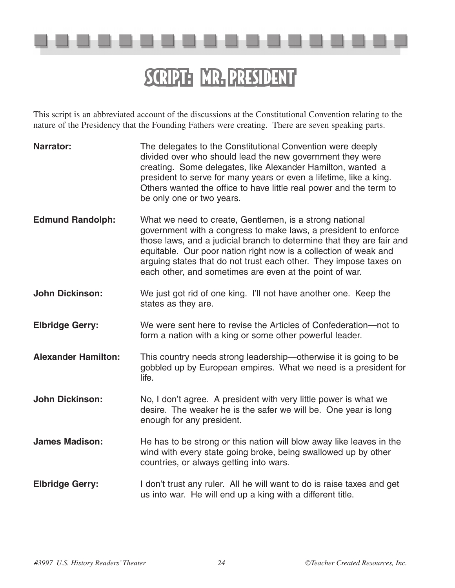

## SCRIPT: MR. PRESIDENT

This script is an abbreviated account of the discussions at the Constitutional Convention relating to the nature of the Presidency that the Founding Fathers were creating. There are seven speaking parts.

| <b>Narrator:</b>           | The delegates to the Constitutional Convention were deeply<br>divided over who should lead the new government they were<br>creating. Some delegates, like Alexander Hamilton, wanted a<br>president to serve for many years or even a lifetime, like a king.<br>Others wanted the office to have little real power and the term to<br>be only one or two years.                                         |
|----------------------------|---------------------------------------------------------------------------------------------------------------------------------------------------------------------------------------------------------------------------------------------------------------------------------------------------------------------------------------------------------------------------------------------------------|
| <b>Edmund Randolph:</b>    | What we need to create, Gentlemen, is a strong national<br>government with a congress to make laws, a president to enforce<br>those laws, and a judicial branch to determine that they are fair and<br>equitable. Our poor nation right now is a collection of weak and<br>arguing states that do not trust each other. They impose taxes on<br>each other, and sometimes are even at the point of war. |
| <b>John Dickinson:</b>     | We just got rid of one king. I'll not have another one. Keep the<br>states as they are.                                                                                                                                                                                                                                                                                                                 |
| <b>Elbridge Gerry:</b>     | We were sent here to revise the Articles of Confederation-not to<br>form a nation with a king or some other powerful leader.                                                                                                                                                                                                                                                                            |
| <b>Alexander Hamilton:</b> | This country needs strong leadership—otherwise it is going to be<br>gobbled up by European empires. What we need is a president for<br>life.                                                                                                                                                                                                                                                            |
| <b>John Dickinson:</b>     | No, I don't agree. A president with very little power is what we<br>desire. The weaker he is the safer we will be. One year is long<br>enough for any president.                                                                                                                                                                                                                                        |
| <b>James Madison:</b>      | He has to be strong or this nation will blow away like leaves in the<br>wind with every state going broke, being swallowed up by other<br>countries, or always getting into wars.                                                                                                                                                                                                                       |
| <b>Elbridge Gerry:</b>     | I don't trust any ruler. All he will want to do is raise taxes and get<br>us into war. He will end up a king with a different title.                                                                                                                                                                                                                                                                    |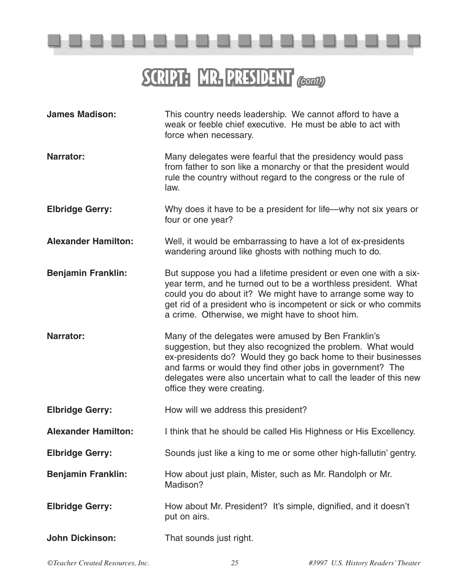

# SCRIPT: MR. PRESIDENT *(cont.)*

| <b>James Madison:</b>      | This country needs leadership. We cannot afford to have a<br>weak or feeble chief executive. He must be able to act with<br>force when necessary.                                                                                                                                                                                                     |
|----------------------------|-------------------------------------------------------------------------------------------------------------------------------------------------------------------------------------------------------------------------------------------------------------------------------------------------------------------------------------------------------|
| <b>Narrator:</b>           | Many delegates were fearful that the presidency would pass<br>from father to son like a monarchy or that the president would<br>rule the country without regard to the congress or the rule of<br>law.                                                                                                                                                |
| <b>Elbridge Gerry:</b>     | Why does it have to be a president for life—why not six years or<br>four or one year?                                                                                                                                                                                                                                                                 |
| <b>Alexander Hamilton:</b> | Well, it would be embarrassing to have a lot of ex-presidents<br>wandering around like ghosts with nothing much to do.                                                                                                                                                                                                                                |
| <b>Benjamin Franklin:</b>  | But suppose you had a lifetime president or even one with a six-<br>year term, and he turned out to be a worthless president. What<br>could you do about it? We might have to arrange some way to<br>get rid of a president who is incompetent or sick or who commits<br>a crime. Otherwise, we might have to shoot him.                              |
| <b>Narrator:</b>           | Many of the delegates were amused by Ben Franklin's<br>suggestion, but they also recognized the problem. What would<br>ex-presidents do? Would they go back home to their businesses<br>and farms or would they find other jobs in government? The<br>delegates were also uncertain what to call the leader of this new<br>office they were creating. |
| <b>Elbridge Gerry:</b>     | How will we address this president?                                                                                                                                                                                                                                                                                                                   |
| <b>Alexander Hamilton:</b> | I think that he should be called His Highness or His Excellency.                                                                                                                                                                                                                                                                                      |
| <b>Elbridge Gerry:</b>     | Sounds just like a king to me or some other high-fallutin' gentry.                                                                                                                                                                                                                                                                                    |
| <b>Benjamin Franklin:</b>  | How about just plain, Mister, such as Mr. Randolph or Mr.<br>Madison?                                                                                                                                                                                                                                                                                 |
| <b>Elbridge Gerry:</b>     | How about Mr. President? It's simple, dignified, and it doesn't<br>put on airs.                                                                                                                                                                                                                                                                       |
| <b>John Dickinson:</b>     | That sounds just right.                                                                                                                                                                                                                                                                                                                               |
|                            |                                                                                                                                                                                                                                                                                                                                                       |